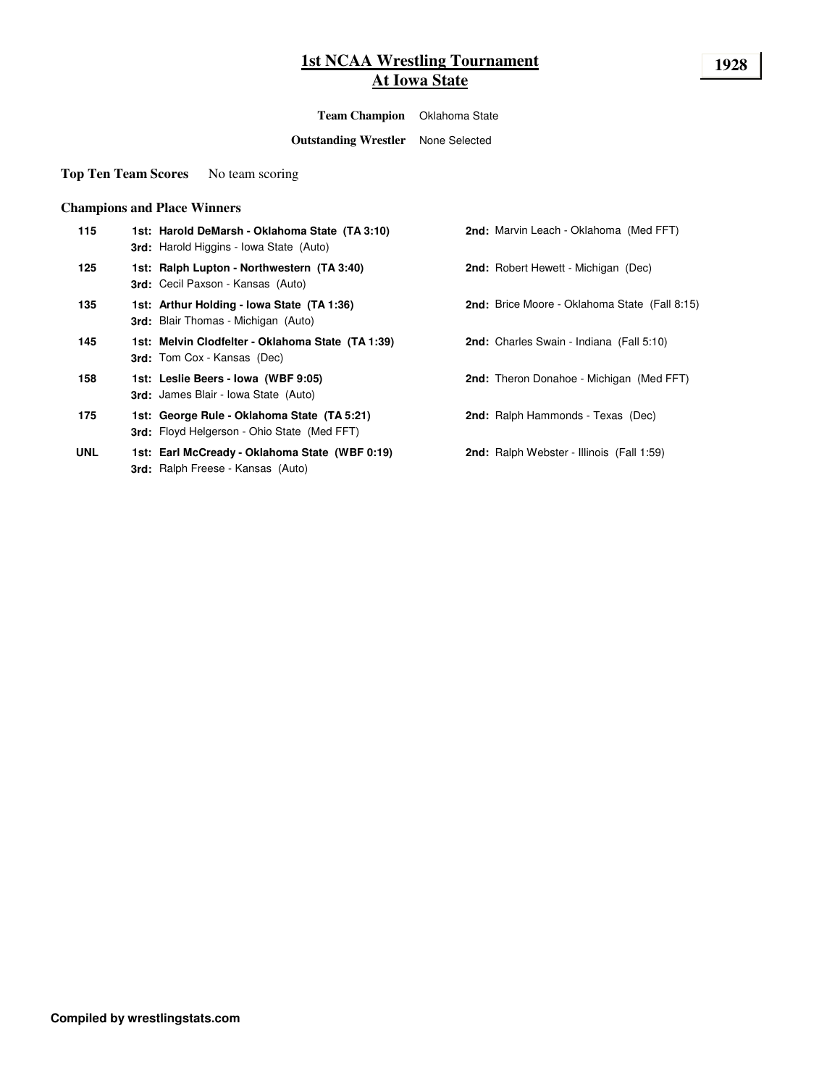## **1st NCAA Wrestling Tournament 1928 At Iowa State**

**Team Champion** Oklahoma State

**Outstanding Wrestler** None Selected

**Top Ten Team Scores** No team scoring

## **Champions and Place Winners**

| 115        | 1st: Harold DeMarsh - Oklahoma State (TA 3:10)<br>3rd: Harold Higgins - Iowa State (Auto)         |
|------------|---------------------------------------------------------------------------------------------------|
| 125        | 1st: Ralph Lupton - Northwestern (TA 3:40)<br>3rd: Cecil Paxson - Kansas (Auto)                   |
| 135        | 1st: Arthur Holding - Iowa State (TA 1:36)<br><b>3rd:</b> Blair Thomas - Michigan (Auto)          |
| 145        | 1st: Melvin Clodfelter - Oklahoma State (TA 1:39)<br><b>3rd:</b> Tom Cox - Kansas (Dec)           |
| 158        | 1st: Leslie Beers - Iowa (WBF 9:05)<br><b>3rd:</b> James Blair - Iowa State (Auto)                |
| 175        | 1st: George Rule - Oklahoma State (TA 5:21)<br><b>3rd:</b> Floyd Helgerson - Ohio State (Med FFT) |
| <b>UNL</b> | 1st: Earl McCready - Oklahoma State (WBF 0:19)<br><b>3rd:</b> Ralph Freese - Kansas (Auto)        |

**2nd:** Marvin Leach - Oklahoma (Med FFT)

**2nd:** Robert Hewett - Michigan (Dec)

**135 1st: Arthur Holding - Iowa State (TA 1:36) 2nd:** Brice Moore - Oklahoma State (Fall 8:15)

**2nd:** Charles Swain - Indiana (Fall 5:10)

**2nd:** Theron Donahoe - Michigan (Med FFT)

**2nd:** Ralph Hammonds - Texas (Dec)

**2nd:** Ralph Webster - Illinois (Fall 1:59)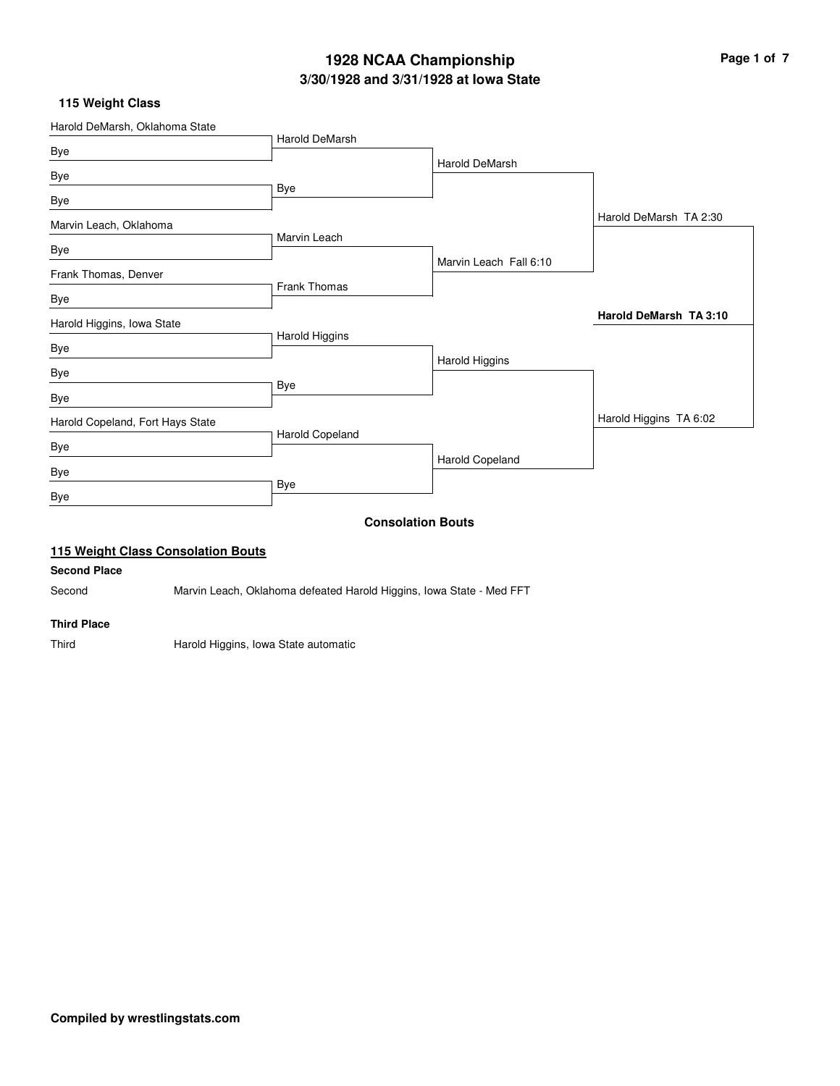# **3/30/1928 and 3/31/1928 at Iowa State 1928 NCAA Championship Page 1 of 7**

## **115 Weight Class**

|                                  |                       | <b>Consolation Bouts</b> |                        |
|----------------------------------|-----------------------|--------------------------|------------------------|
| Bye                              |                       |                          |                        |
| Bye                              | Bye                   |                          |                        |
| Bye                              |                       | Harold Copeland          |                        |
| Harold Copeland, Fort Hays State | Harold Copeland       |                          | Harold Higgins TA 6:02 |
| Bye                              |                       |                          |                        |
| Bye                              | Bye                   |                          |                        |
| Bye                              |                       | Harold Higgins           |                        |
|                                  | Harold Higgins        |                          |                        |
| Harold Higgins, Iowa State       |                       |                          | Harold DeMarsh TA 3:10 |
| Bye                              | <b>Frank Thomas</b>   |                          |                        |
| Frank Thomas, Denver             |                       | Marvin Leach Fall 6:10   |                        |
| Bye                              | Marvin Leach          |                          |                        |
| Marvin Leach, Oklahoma           |                       |                          | Harold DeMarsh TA 2:30 |
| Bye                              | Bye                   |                          |                        |
| Bye                              |                       |                          |                        |
| Bye                              |                       | Harold DeMarsh           |                        |
| Harold DeMarsh, Oklahoma State   | <b>Harold DeMarsh</b> |                          |                        |

#### **Second Place**

Second Marvin Leach, Oklahoma defeated Harold Higgins, Iowa State - Med FFT

### **Third Place**

Third **Harold Higgins, Iowa State automatic**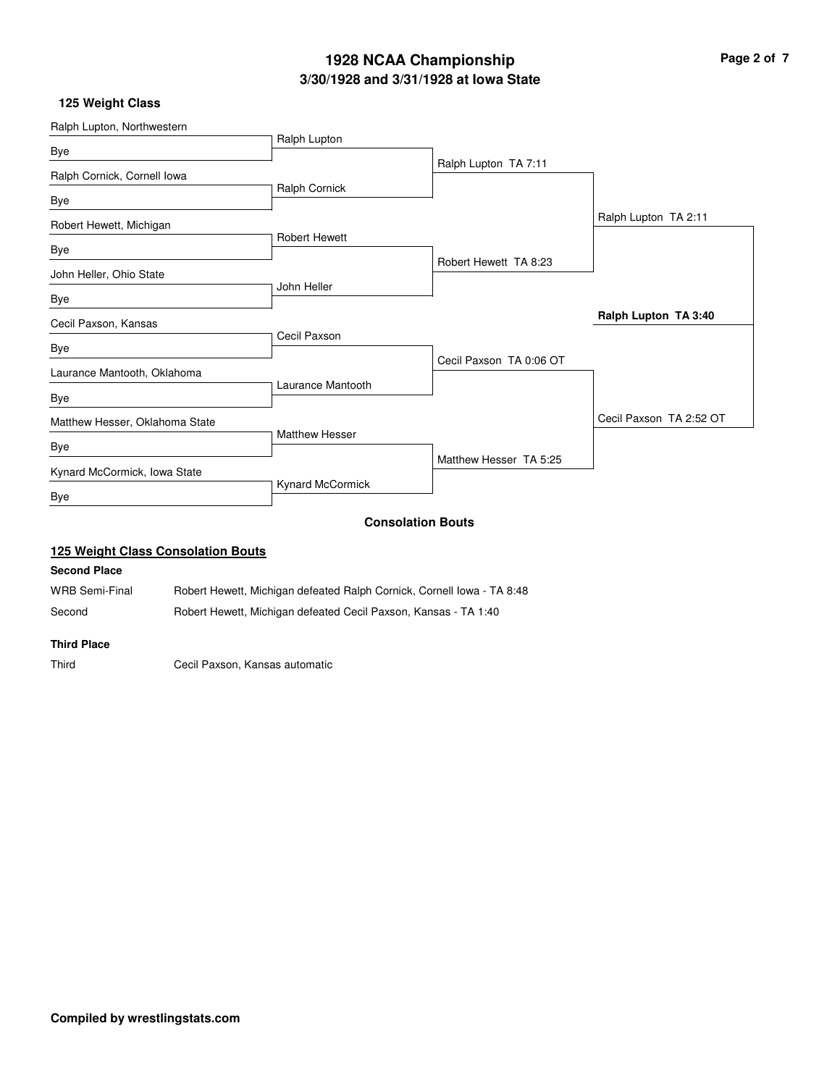# **3/30/1928 and 3/31/1928 at Iowa State 1928 NCAA Championship Page 2 of 7**

## **125 Weight Class**

| Ralph Lupton, Northwestern     |                       |                          |                         |
|--------------------------------|-----------------------|--------------------------|-------------------------|
| Bye                            | Ralph Lupton          |                          |                         |
| Ralph Cornick, Cornell Iowa    |                       | Ralph Lupton TA 7:11     |                         |
| Bye                            | Ralph Cornick         |                          |                         |
| Robert Hewett, Michigan        |                       |                          | Ralph Lupton TA 2:11    |
| Bye                            | <b>Robert Hewett</b>  |                          |                         |
| John Heller, Ohio State        |                       | Robert Hewett TA 8:23    |                         |
| Bye                            | John Heller           |                          |                         |
| Cecil Paxson, Kansas           |                       |                          | Ralph Lupton TA 3:40    |
| Bye                            | Cecil Paxson          |                          |                         |
| Laurance Mantooth, Oklahoma    |                       | Cecil Paxson TA 0:06 OT  |                         |
| Bye                            | Laurance Mantooth     |                          |                         |
| Matthew Hesser, Oklahoma State |                       |                          | Cecil Paxson TA 2:52 OT |
| Bye                            | <b>Matthew Hesser</b> |                          |                         |
| Kynard McCormick, Iowa State   |                       | Matthew Hesser TA 5:25   |                         |
| <b>Bye</b>                     | Kynard McCormick      |                          |                         |
|                                |                       | <b>Consolation Bouts</b> |                         |

## **125 Weight Class Consolation Bouts**

#### **Second Place**

WRB Semi-Final Robert Hewett, Michigan defeated Ralph Cornick, Cornell Iowa - TA 8:48 Second Robert Hewett, Michigan defeated Cecil Paxson, Kansas - TA 1:40

#### **Third Place**

Third Cecil Paxson, Kansas automatic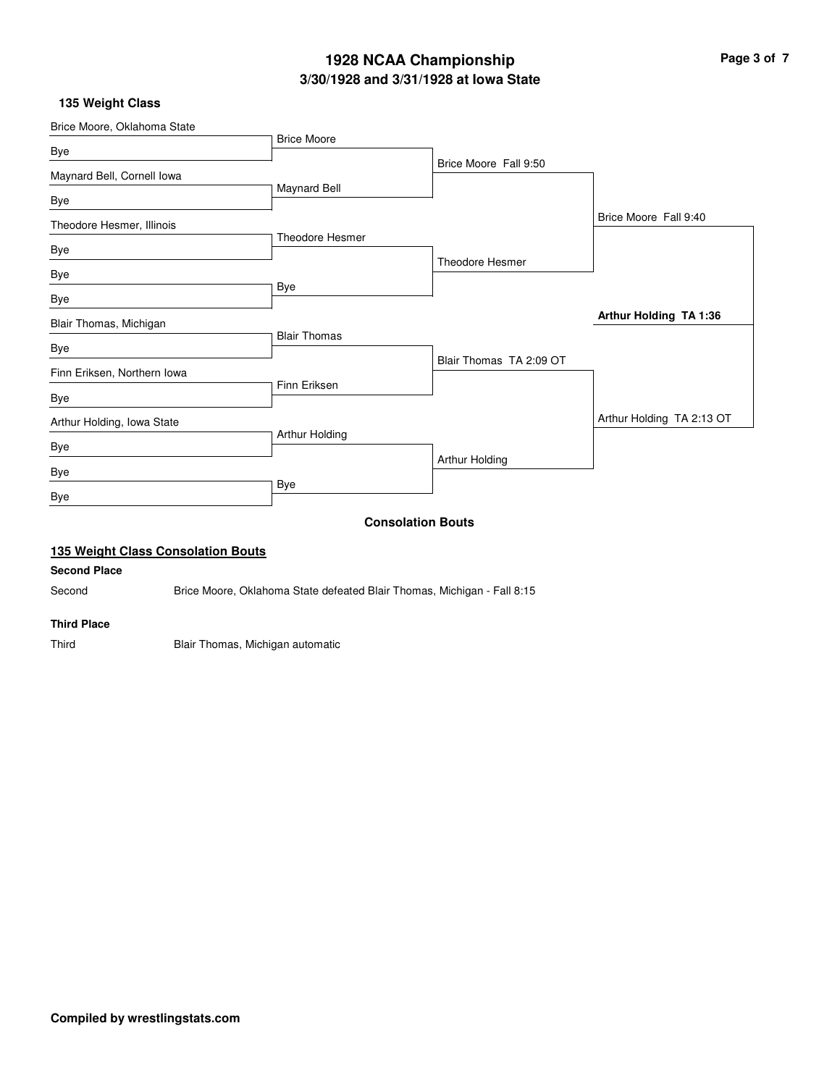# **3/30/1928 and 3/31/1928 at Iowa State 1928 NCAA Championship Page 3 of 7**

## **135 Weight Class**

| Brice Moore, Oklahoma State               |                     |                          |                           |
|-------------------------------------------|---------------------|--------------------------|---------------------------|
| Bye                                       | <b>Brice Moore</b>  |                          |                           |
|                                           |                     | Brice Moore Fall 9:50    |                           |
| Maynard Bell, Cornell Iowa                | Maynard Bell        |                          |                           |
| Bye                                       |                     |                          |                           |
| Theodore Hesmer, Illinois                 |                     |                          | Brice Moore Fall 9:40     |
|                                           | Theodore Hesmer     |                          |                           |
| Bye                                       |                     | <b>Theodore Hesmer</b>   |                           |
| Bye                                       |                     |                          |                           |
| Bye                                       | Bye                 |                          |                           |
| Blair Thomas, Michigan                    |                     |                          | Arthur Holding TA 1:36    |
|                                           | <b>Blair Thomas</b> |                          |                           |
| Bye                                       |                     | Blair Thomas TA 2:09 OT  |                           |
| Finn Eriksen, Northern Iowa               |                     |                          |                           |
| Bye                                       | Finn Eriksen        |                          |                           |
| Arthur Holding, Iowa State                |                     |                          | Arthur Holding TA 2:13 OT |
| Bye                                       | Arthur Holding      |                          |                           |
| Bye                                       |                     | Arthur Holding           |                           |
| Bye                                       | Bye                 |                          |                           |
|                                           |                     | <b>Consolation Bouts</b> |                           |
| <b>135 Weight Class Consolation Bouts</b> |                     |                          |                           |

#### **Second Place**

Second Brice Moore, Oklahoma State defeated Blair Thomas, Michigan - Fall 8:15

### **Third Place**

Third Blair Thomas, Michigan automatic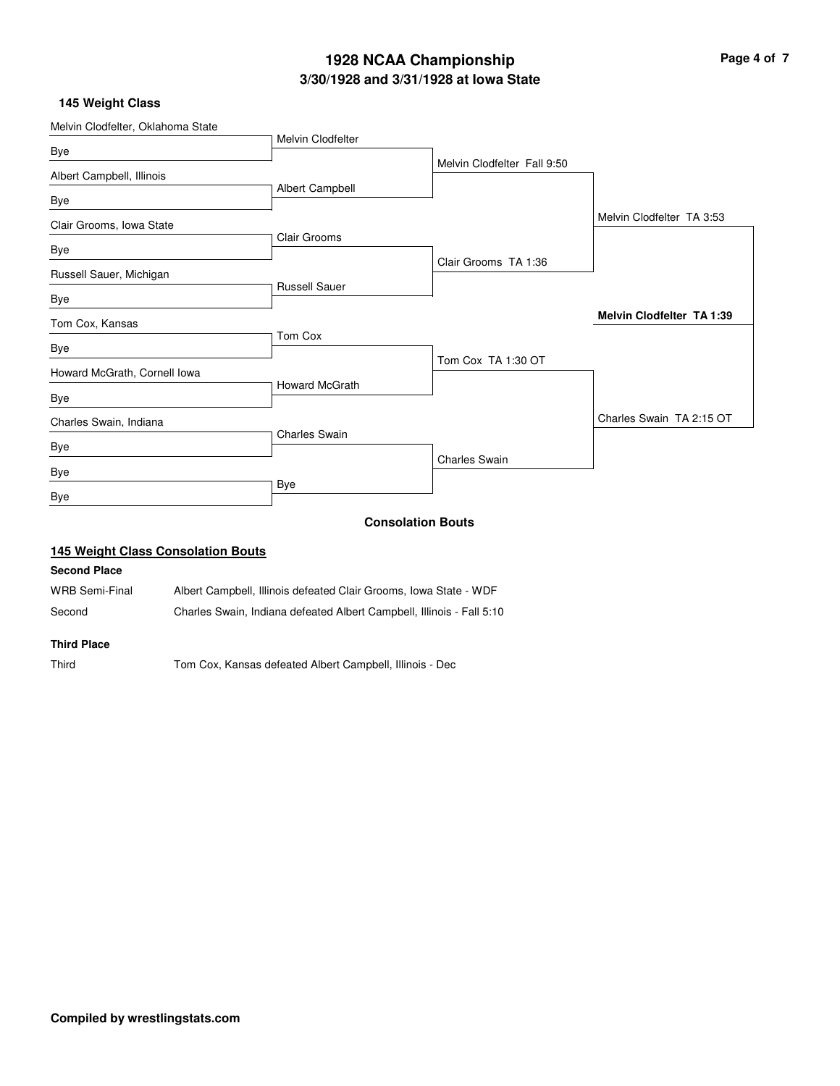## **3/30/1928 and 3/31/1928 at Iowa State 1928 NCAA Championship Page 4 of 7**

## **145 Weight Class**

| Melvin Clodfelter, Oklahoma State |                       |                             |                                  |
|-----------------------------------|-----------------------|-----------------------------|----------------------------------|
|                                   | Melvin Clodfelter     |                             |                                  |
| Bye                               |                       | Melvin Clodfelter Fall 9:50 |                                  |
| Albert Campbell, Illinois         |                       |                             |                                  |
| Bye                               | Albert Campbell       |                             |                                  |
| Clair Grooms, Iowa State          |                       |                             | Melvin Clodfelter TA 3:53        |
|                                   | Clair Grooms          |                             |                                  |
| Bye                               |                       | Clair Grooms TA 1:36        |                                  |
| Russell Sauer, Michigan           |                       |                             |                                  |
| Bye                               | <b>Russell Sauer</b>  |                             |                                  |
| Tom Cox, Kansas                   |                       |                             | <b>Melvin Clodfelter TA 1:39</b> |
|                                   | Tom Cox               |                             |                                  |
| Bye                               |                       | Tom Cox TA 1:30 OT          |                                  |
| Howard McGrath, Cornell Iowa      | <b>Howard McGrath</b> |                             |                                  |
| Bye                               |                       |                             |                                  |
| Charles Swain, Indiana            |                       |                             | Charles Swain TA 2:15 OT         |
|                                   | <b>Charles Swain</b>  |                             |                                  |
| Bye                               |                       | <b>Charles Swain</b>        |                                  |
| Bye                               |                       |                             |                                  |
| Bye                               | Bye                   |                             |                                  |
|                                   |                       | <b>Consolation Bouts</b>    |                                  |

## **145 Weight Class Consolation Bouts**

#### **Second Place**

WRB Semi-Final Albert Campbell, Illinois defeated Clair Grooms, Iowa State - WDF

Second Charles Swain, Indiana defeated Albert Campbell, Illinois - Fall 5:10

#### **Third Place**

Third Tom Cox, Kansas defeated Albert Campbell, Illinois - Dec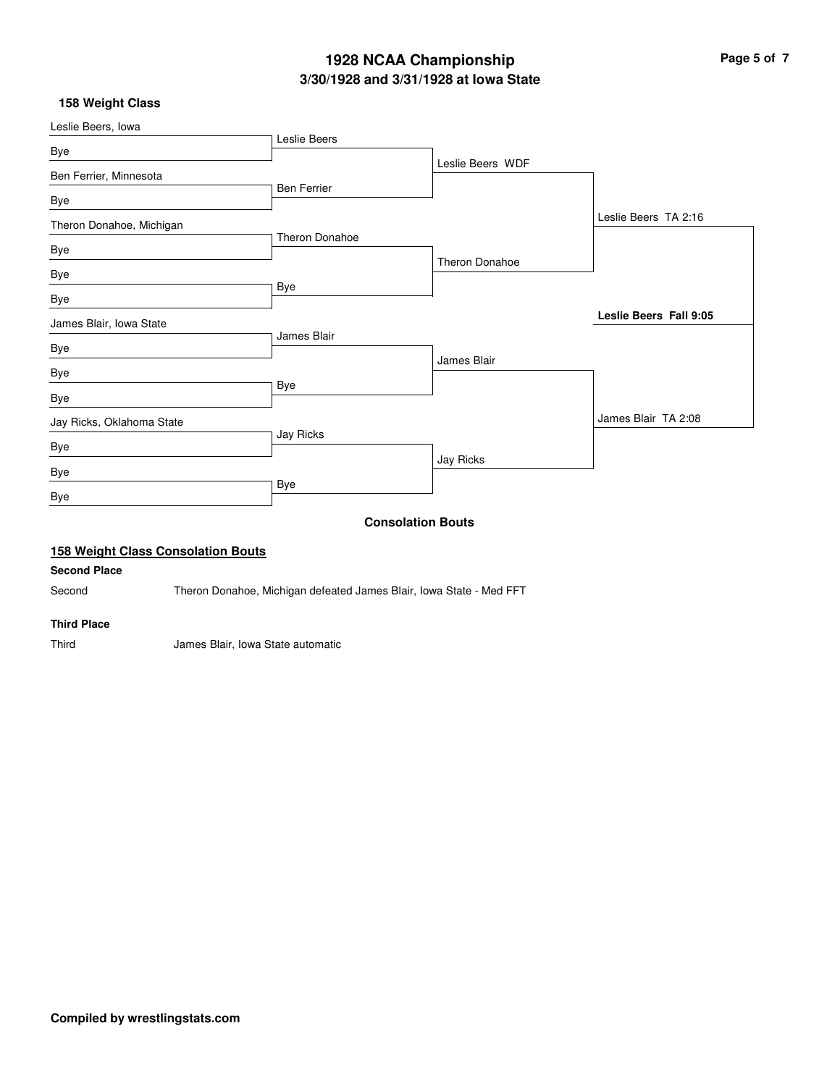# **3/30/1928 and 3/31/1928 at Iowa State 1928 NCAA Championship Page 5 of 7**

## **158 Weight Class**

| Leslie Beers, lowa                        |                       |                          |                        |
|-------------------------------------------|-----------------------|--------------------------|------------------------|
| Bye                                       | Leslie Beers          |                          |                        |
| Ben Ferrier, Minnesota                    |                       | Leslie Beers WDF         |                        |
| Bye                                       | <b>Ben Ferrier</b>    |                          |                        |
| Theron Donahoe, Michigan                  |                       |                          | Leslie Beers TA 2:16   |
| Bye                                       | <b>Theron Donahoe</b> |                          |                        |
| Bye                                       |                       | Theron Donahoe           |                        |
| Bye                                       | Bye                   |                          |                        |
| James Blair, Iowa State                   |                       |                          | Leslie Beers Fall 9:05 |
| Bye                                       | James Blair           |                          |                        |
| Bye                                       |                       | James Blair              |                        |
| Bye                                       | Bye                   |                          |                        |
| Jay Ricks, Oklahoma State                 |                       |                          | James Blair TA 2:08    |
| Bye                                       | Jay Ricks             |                          |                        |
| Bye                                       |                       | Jay Ricks                |                        |
| Bye                                       | Bye                   |                          |                        |
|                                           |                       | <b>Consolation Bouts</b> |                        |
| <b>158 Weight Class Consolation Bouts</b> |                       |                          |                        |
| Connell Bloom                             |                       |                          |                        |

## **Second Place**

Second Theron Donahoe, Michigan defeated James Blair, Iowa State - Med FFT

### **Third Place**

Third James Blair, Iowa State automatic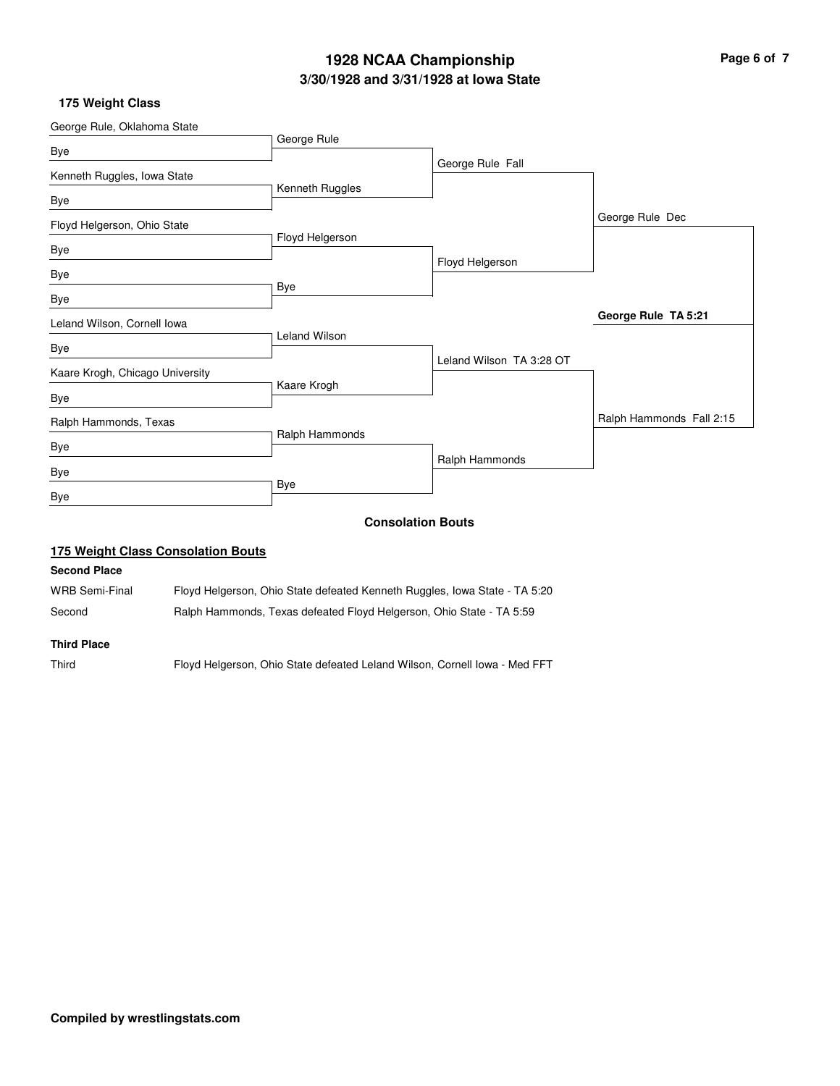## **3/30/1928 and 3/31/1928 at Iowa State 1928 NCAA Championship Page 6 of 7**

## **175 Weight Class**

| George Rule, Oklahoma State     |                      |                          |                          |
|---------------------------------|----------------------|--------------------------|--------------------------|
| Bye                             | George Rule          |                          |                          |
|                                 |                      | George Rule Fall         |                          |
| Kenneth Ruggles, Iowa State     |                      |                          |                          |
| Bye                             | Kenneth Ruggles      |                          |                          |
| Floyd Helgerson, Ohio State     |                      |                          | George Rule Dec          |
|                                 | Floyd Helgerson      |                          |                          |
| Bye                             |                      | Floyd Helgerson          |                          |
| Bye                             |                      |                          |                          |
| Bye                             | Bye                  |                          |                          |
| Leland Wilson, Cornell lowa     |                      |                          | George Rule TA 5:21      |
|                                 | <b>Leland Wilson</b> |                          |                          |
| Bye                             |                      | Leland Wilson TA 3:28 OT |                          |
| Kaare Krogh, Chicago University |                      |                          |                          |
| Bye                             | Kaare Krogh          |                          |                          |
| Ralph Hammonds, Texas           |                      |                          | Ralph Hammonds Fall 2:15 |
|                                 | Ralph Hammonds       |                          |                          |
| Bye                             |                      | Ralph Hammonds           |                          |
| Bye                             |                      |                          |                          |
| Bye                             | Bye                  |                          |                          |
|                                 |                      | <b>Consolation Bouts</b> |                          |
|                                 |                      |                          |                          |

## **175 Weight Class Consolation Bouts**

#### **Second Place**

WRB Semi-Final Floyd Helgerson, Ohio State defeated Kenneth Ruggles, Iowa State - TA 5:20 Second Ralph Hammonds, Texas defeated Floyd Helgerson, Ohio State - TA 5:59

#### **Third Place**

Third Floyd Helgerson, Ohio State defeated Leland Wilson, Cornell Iowa - Med FFT